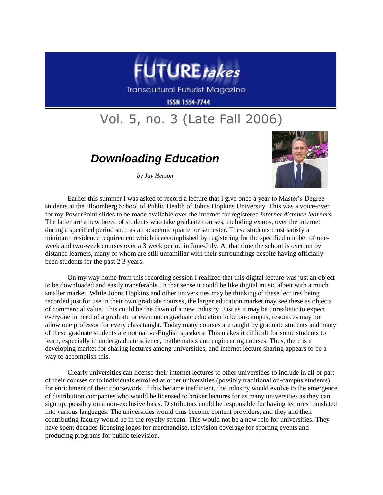

**Transcultural Futurist Magazine** 

**ISSN 1554-7744** 

## Vol. 5, no. 3 (Late Fall 2006)

## *Downloading Education*

*by Jay Herson*



Earlier this summer I was asked to record a lecture that I give once a year to Master's Degree students at the Bloomberg School of Public Health of Johns Hopkins University. This was a voice-over for my PowerPoint slides to be made available over the internet for registered *internet distance learners.*  The latter are a new breed of students who take graduate courses, including exams, over the internet during a specified period such as an academic quarter or semester. These students must satisfy a minimum residence requirement which is accomplished by registering for the specified number of oneweek and two-week courses over a 3 week period in June-July. At that time the school is overrun by distance learners, many of whom are still unfamiliar with their surroundings despite having officially been students for the past 2-3 years.

On my way home from this recording session I realized that this digital lecture was just an object to be downloaded and easily transferable. In that sense it could be like digital music albeit with a much smaller market. While Johns Hopkins and other universities may be thinking of these lectures being recorded just for use in their own graduate courses, the larger education market may see these as objects of commercial value. This could be the dawn of a new industry. Just as it may be unrealistic to expect everyone in need of a graduate or even undergraduate education to be on-campus, resources may not allow one professor for every class taught. Today many courses are taught by graduate students and many of these graduate students are not native-English speakers. This makes it difficult for some students to learn, especially in undergraduate science, mathematics and engineering courses. Thus, there is a developing market for sharing lectures among universities, and internet lecture sharing appears to be a way to accomplish this.

Clearly universities can license their internet lectures to other universities to include in all or part of their courses or to individuals enrolled at other universities (possibly traditional on-campus students) for enrichment of their coursework. If this became inefficient, the industry would evolve to the emergence of distribution companies who would be licensed to broker lectures for as many universities as they can sign up, possibly on a non-exclusive basis. Distributors could be responsible for having lectures translated into various languages. The universities would thus become content providers, and they and their contributing faculty would be in the royalty stream. This would not be a new role for universities. They have spent decades licensing logos for merchandise, television coverage for sporting events and producing programs for public television.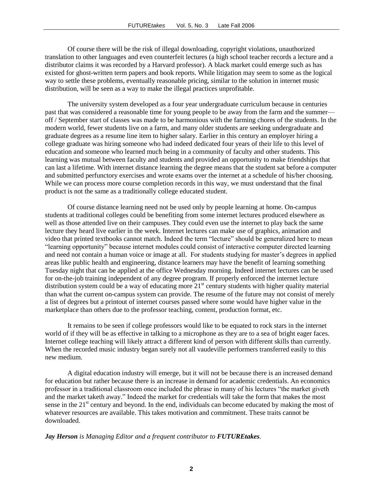Of course there will be the risk of illegal downloading, copyright violations, unauthorized translation to other languages and even counterfeit lectures (a high school teacher records a lecture and a distributor claims it was recorded by a Harvard professor). A black market could emerge such as has existed for ghost-written term papers and book reports. While litigation may seem to some as the logical way to settle these problems, eventually reasonable pricing, similar to the solution in internet music distribution, will be seen as a way to make the illegal practices unprofitable.

The university system developed as a four year undergraduate curriculum because in centuries past that was considered a reasonable time for young people to be away from the farm and the summer off / September start of classes was made to be harmonious with the farming chores of the students. In the modern world, fewer students live on a farm, and many older students are seeking undergraduate and graduate degrees as a resume line item to higher salary. Earlier in this century an employer hiring a college graduate was hiring someone who had indeed dedicated four years of their life to this level of education and someone who learned much being in a community of faculty and other students. This learning was mutual between faculty and students and provided an opportunity to make friendships that can last a lifetime. With internet distance learning the degree means that the student sat before a computer and submitted perfunctory exercises and wrote exams over the internet at a schedule of his/her choosing. While we can process more course completion records in this way, we must understand that the final product is not the same as a traditionally college educated student.

Of course distance learning need not be used only by people learning at home. On-campus students at traditional colleges could be benefiting from some internet lectures produced elsewhere as well as those attended live on their campuses. They could even use the internet to play back the same lecture they heard live earlier in the week. Internet lectures can make use of graphics, animation and video that printed textbooks cannot match. Indeed the term "lecture" should be generalized here to mean "learning opportunity" because internet modules could consist of interactive computer directed learning and need not contain a human voice or image at all. For students studying for master's degrees in applied areas like public health and engineering, distance learners may have the benefit of learning something Tuesday night that can be applied at the office Wednesday morning. Indeed internet lectures can be used for on-the-job training independent of any degree program. If properly enforced the internet lecture distribution system could be a way of educating more  $21<sup>st</sup>$  century students with higher quality material than what the current on-campus system can provide. The resume of the future may not consist of merely a list of degrees but a printout of internet courses passed where some would have higher value in the marketplace than others due to the professor teaching, content, production format, etc.

It remains to be seen if college professors would like to be equated to rock stars in the internet world of if they will be as effective in talking to a microphone as they are to a sea of bright eager faces. Internet college teaching will likely attract a different kind of person with different skills than currently. When the recorded music industry began surely not all vaudeville performers transferred easily to this new medium.

A digital education industry will emerge, but it will not be because there is an increased demand for education but rather because there is an increase in demand for academic credentials. An economics professor in a traditional classroom once included the phrase in many of his lectures "the market giveth and the market taketh away." Indeed the market for credentials will take the form that makes the most sense in the 21<sup>st</sup> century and beyond. In the end, individuals can become educated by making the most of whatever resources are available. This takes motivation and commitment. These traits cannot be downloaded.

## *Jay Herson is Managing Editor and a frequent contributor to FUTUREtakes.*